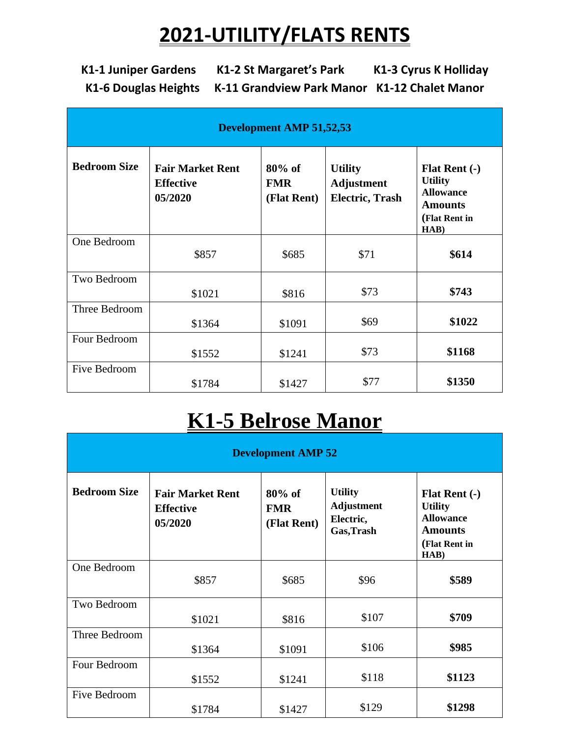## **2021-UTILITY/FLATS RENTS**

**K1-1 Juniper Gardens K1-2 St Margaret's Park K1-3 Cyrus K Holliday K1-6 Douglas Heights K-11 Grandview Park Manor K1-12 Chalet Manor**

| <b>Development AMP 51,52,53</b> |                                                        |                                        |                                                               |                                                                                                       |
|---------------------------------|--------------------------------------------------------|----------------------------------------|---------------------------------------------------------------|-------------------------------------------------------------------------------------------------------|
| <b>Bedroom Size</b>             | <b>Fair Market Rent</b><br><b>Effective</b><br>05/2020 | $80\%$ of<br><b>FMR</b><br>(Flat Rent) | <b>Utility</b><br><b>Adjustment</b><br><b>Electric, Trash</b> | <b>Flat Rent (-)</b><br><b>Utility</b><br><b>Allowance</b><br><b>Amounts</b><br>(Flat Rent in<br>HAB) |
| One Bedroom                     | \$857                                                  | \$685                                  | \$71                                                          | \$614                                                                                                 |
| Two Bedroom                     | \$1021                                                 | \$816                                  | \$73                                                          | \$743                                                                                                 |
| Three Bedroom                   | \$1364                                                 | \$1091                                 | \$69                                                          | \$1022                                                                                                |
| Four Bedroom                    | \$1552                                                 | \$1241                                 | \$73                                                          | \$1168                                                                                                |
| Five Bedroom                    | \$1784                                                 | \$1427                                 | \$77                                                          | \$1350                                                                                                |

### **K1-5 Belrose Manor**

| <b>Development AMP 52</b> |                                                        |                                        |                                                                |                                                                                                       |
|---------------------------|--------------------------------------------------------|----------------------------------------|----------------------------------------------------------------|-------------------------------------------------------------------------------------------------------|
| <b>Bedroom Size</b>       | <b>Fair Market Rent</b><br><b>Effective</b><br>05/2020 | $80\%$ of<br><b>FMR</b><br>(Flat Rent) | <b>Utility</b><br><b>Adjustment</b><br>Electric,<br>Gas, Trash | <b>Flat Rent (-)</b><br><b>Utility</b><br><b>Allowance</b><br><b>Amounts</b><br>(Flat Rent in<br>HAB) |
| One Bedroom               | \$857                                                  | \$685                                  | \$96                                                           | \$589                                                                                                 |
| Two Bedroom               | \$1021                                                 | \$816                                  | \$107                                                          | \$709                                                                                                 |
| Three Bedroom             | \$1364                                                 | \$1091                                 | \$106                                                          | \$985                                                                                                 |
| Four Bedroom              | \$1552                                                 | \$1241                                 | \$118                                                          | \$1123                                                                                                |
| Five Bedroom              | \$1784                                                 | \$1427                                 | \$129                                                          | \$1298                                                                                                |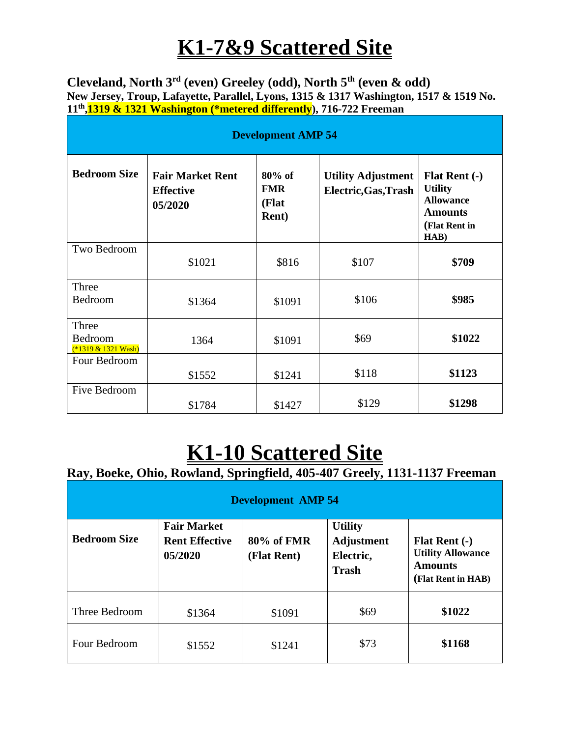## **K1-7&9 Scattered Site**

**Cleveland, North 3rd (even) Greeley (odd), North 5th (even & odd) New Jersey, Troup, Lafayette, Parallel, Lyons, 1315 & 1317 Washington, 1517 & 1519 No. 11th ,1319 & 1321 Washington (\*metered differently), 716-722 Freeman** 

| <b>Development AMP 54</b>                |                                                        |                                                   |                                                   |                                                                                                       |
|------------------------------------------|--------------------------------------------------------|---------------------------------------------------|---------------------------------------------------|-------------------------------------------------------------------------------------------------------|
| <b>Bedroom Size</b>                      | <b>Fair Market Rent</b><br><b>Effective</b><br>05/2020 | $80\%$ of<br><b>FMR</b><br>(Flat<br><b>Rent</b> ) | <b>Utility Adjustment</b><br>Electric, Gas, Trash | <b>Flat Rent (-)</b><br><b>Utility</b><br><b>Allowance</b><br><b>Amounts</b><br>(Flat Rent in<br>HAB) |
| Two Bedroom                              | \$1021                                                 | \$816                                             | \$107                                             | \$709                                                                                                 |
| Three<br>Bedroom                         | \$1364                                                 | \$1091                                            | \$106                                             | \$985                                                                                                 |
| Three<br>Bedroom<br>$(*1319 & 1321$ Wash | 1364                                                   | \$1091                                            | \$69                                              | \$1022                                                                                                |
| Four Bedroom                             | \$1552                                                 | \$1241                                            | \$118                                             | \$1123                                                                                                |
| Five Bedroom                             | \$1784                                                 | \$1427                                            | \$129                                             | \$1298                                                                                                |

# **K1-10 Scattered Site**

### **Ray, Boeke, Ohio, Rowland, Springfield, 405-407 Greely, 1131-1137 Freeman**

| <b>Development AMP 54</b> |                                                        |                           |                                                                  |                                                                                          |
|---------------------------|--------------------------------------------------------|---------------------------|------------------------------------------------------------------|------------------------------------------------------------------------------------------|
| <b>Bedroom Size</b>       | <b>Fair Market</b><br><b>Rent Effective</b><br>05/2020 | 80% of FMR<br>(Flat Rent) | <b>Utility</b><br><b>Adjustment</b><br>Electric,<br><b>Trash</b> | <b>Flat Rent (-)</b><br><b>Utility Allowance</b><br><b>Amounts</b><br>(Flat Rent in HAB) |
| Three Bedroom             | \$1364                                                 | \$1091                    | \$69                                                             | \$1022                                                                                   |
| Four Bedroom              | \$1552                                                 | \$1241                    | \$73                                                             | \$1168                                                                                   |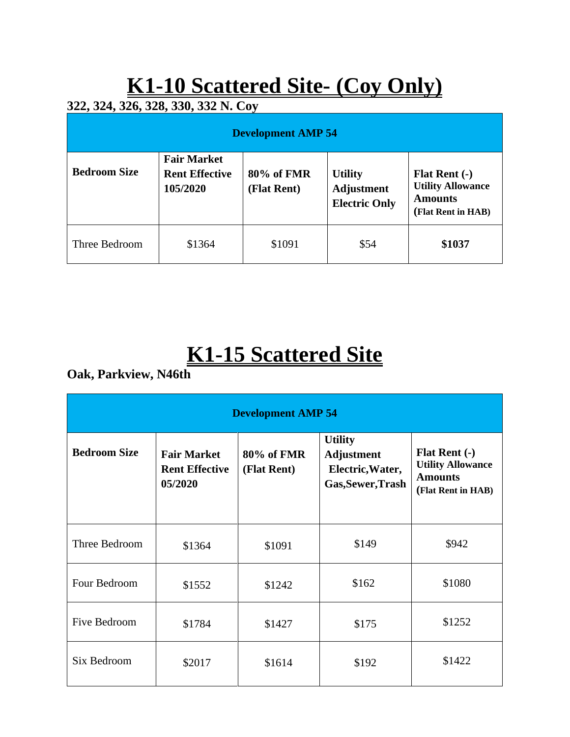# **K1-10 Scattered Site- (Coy Only)**

**322, 324, 326, 328, 330, 332 N. Coy**

| <b>Development AMP 54</b> |                                                         |                           |                                                             |                                                                                          |
|---------------------------|---------------------------------------------------------|---------------------------|-------------------------------------------------------------|------------------------------------------------------------------------------------------|
| <b>Bedroom Size</b>       | <b>Fair Market</b><br><b>Rent Effective</b><br>105/2020 | 80% of FMR<br>(Flat Rent) | <b>Utility</b><br><b>Adjustment</b><br><b>Electric Only</b> | <b>Flat Rent (-)</b><br><b>Utility Allowance</b><br><b>Amounts</b><br>(Flat Rent in HAB) |
| Three Bedroom             | \$1364                                                  | \$1091                    | \$54                                                        | \$1037                                                                                   |

# **K1-15 Scattered Site**

**Oak, Parkview, N46th**

| <b>Development AMP 54</b> |                                                        |                           |                                                                              |                                                                                          |  |
|---------------------------|--------------------------------------------------------|---------------------------|------------------------------------------------------------------------------|------------------------------------------------------------------------------------------|--|
| <b>Bedroom Size</b>       | <b>Fair Market</b><br><b>Rent Effective</b><br>05/2020 | 80% of FMR<br>(Flat Rent) | <b>Utility</b><br><b>Adjustment</b><br>Electric, Water,<br>Gas, Sewer, Trash | <b>Flat Rent (-)</b><br><b>Utility Allowance</b><br><b>Amounts</b><br>(Flat Rent in HAB) |  |
| Three Bedroom             | \$1364                                                 | \$1091                    | \$149                                                                        | \$942                                                                                    |  |
| Four Bedroom              | \$1552                                                 | \$1242                    | \$162                                                                        | \$1080                                                                                   |  |
| <b>Five Bedroom</b>       | \$1784                                                 | \$1427                    | \$175                                                                        | \$1252                                                                                   |  |
| Six Bedroom               | \$2017                                                 | \$1614                    | \$192                                                                        | \$1422                                                                                   |  |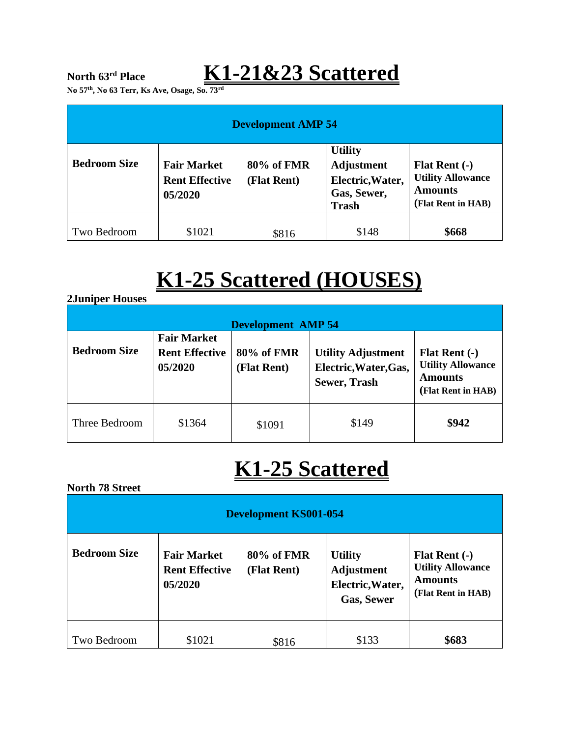### **North 63rd Place K1-21&23 Scattered**

**No 57th, No 63 Terr, Ks Ave, Osage, So. 73rd**

| <b>Development AMP 54</b> |                                                        |                           |                                                                                 |                                                                                     |
|---------------------------|--------------------------------------------------------|---------------------------|---------------------------------------------------------------------------------|-------------------------------------------------------------------------------------|
| <b>Bedroom Size</b>       | <b>Fair Market</b><br><b>Rent Effective</b><br>05/2020 | 80% of FMR<br>(Flat Rent) | <b>Utility</b><br>Adjustment<br>Electric, Water,<br>Gas, Sewer,<br><b>Trash</b> | Flat Rent $(-)$<br><b>Utility Allowance</b><br><b>Amounts</b><br>(Flat Rent in HAB) |
| Two Bedroom               | \$1021                                                 | \$816                     | \$148                                                                           | \$668                                                                               |

## **K1-25 Scattered (HOUSES)**

#### **2Juniper Houses**

| <b>Development AMP 54</b> |                                                        |                           |                                                                           |                                                                                   |
|---------------------------|--------------------------------------------------------|---------------------------|---------------------------------------------------------------------------|-----------------------------------------------------------------------------------|
| <b>Bedroom Size</b>       | <b>Fair Market</b><br><b>Rent Effective</b><br>05/2020 | 80% of FMR<br>(Flat Rent) | <b>Utility Adjustment</b><br>Electric, Water, Gas,<br><b>Sewer, Trash</b> | Flat Rent (-)<br><b>Utility Allowance</b><br><b>Amounts</b><br>(Flat Rent in HAB) |
| Three Bedroom             | \$1364                                                 | \$1091                    | \$149                                                                     | \$942                                                                             |

### **K1-25 Scattered**

#### **North 78 Street**

| <b>Development KS001-054</b> |                                                        |                           |                                                                              |                                                                                          |
|------------------------------|--------------------------------------------------------|---------------------------|------------------------------------------------------------------------------|------------------------------------------------------------------------------------------|
| <b>Bedroom Size</b>          | <b>Fair Market</b><br><b>Rent Effective</b><br>05/2020 | 80% of FMR<br>(Flat Rent) | <b>Utility</b><br><b>Adjustment</b><br>Electric, Water,<br><b>Gas, Sewer</b> | <b>Flat Rent (-)</b><br><b>Utility Allowance</b><br><b>Amounts</b><br>(Flat Rent in HAB) |
| Two Bedroom                  | \$1021                                                 | \$816                     | \$133                                                                        | \$683                                                                                    |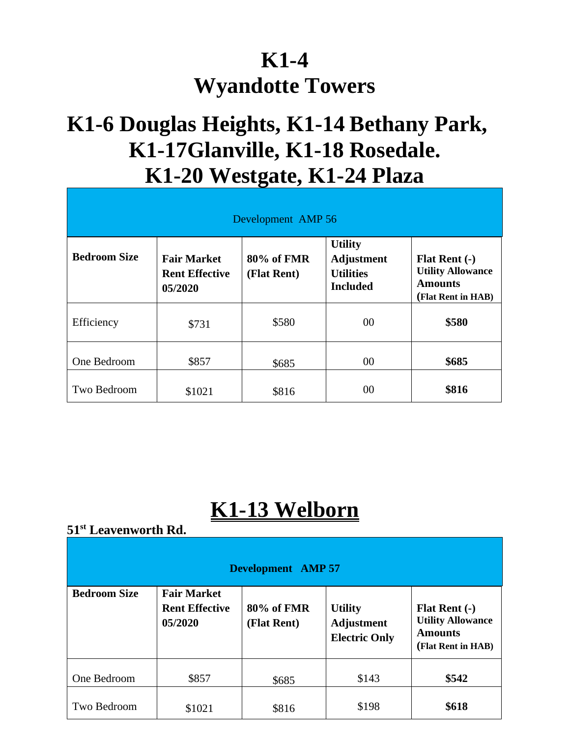### **K1-4 Wyandotte Towers**

### **K1-6 Douglas Heights, K1-14 Bethany Park, K1-17Glanville, K1-18 Rosedale. K1-20 Westgate, K1-24 Plaza**

| Development AMP 56  |                                                        |                           |                                                                            |                                                                                          |  |
|---------------------|--------------------------------------------------------|---------------------------|----------------------------------------------------------------------------|------------------------------------------------------------------------------------------|--|
| <b>Bedroom Size</b> | <b>Fair Market</b><br><b>Rent Effective</b><br>05/2020 | 80% of FMR<br>(Flat Rent) | <b>Utility</b><br><b>Adjustment</b><br><b>Utilities</b><br><b>Included</b> | <b>Flat Rent (-)</b><br><b>Utility Allowance</b><br><b>Amounts</b><br>(Flat Rent in HAB) |  |
| Efficiency          | \$731                                                  | \$580                     | $00\,$                                                                     | \$580                                                                                    |  |
| One Bedroom         | \$857                                                  | \$685                     | $00\,$                                                                     | \$685                                                                                    |  |
| Two Bedroom         | \$1021                                                 | \$816                     | 00                                                                         | \$816                                                                                    |  |

### **K1-13 Welborn**

### **51st Leavenworth Rd.**

| <b>Development</b> AMP 57 |                                                        |                           |                                                             |                                                                                          |
|---------------------------|--------------------------------------------------------|---------------------------|-------------------------------------------------------------|------------------------------------------------------------------------------------------|
| <b>Bedroom Size</b>       | <b>Fair Market</b><br><b>Rent Effective</b><br>05/2020 | 80% of FMR<br>(Flat Rent) | <b>Utility</b><br><b>Adjustment</b><br><b>Electric Only</b> | <b>Flat Rent (-)</b><br><b>Utility Allowance</b><br><b>Amounts</b><br>(Flat Rent in HAB) |
| One Bedroom               | \$857                                                  | \$685                     | \$143                                                       | \$542                                                                                    |
| Two Bedroom               | \$1021                                                 | \$816                     | \$198                                                       | \$618                                                                                    |